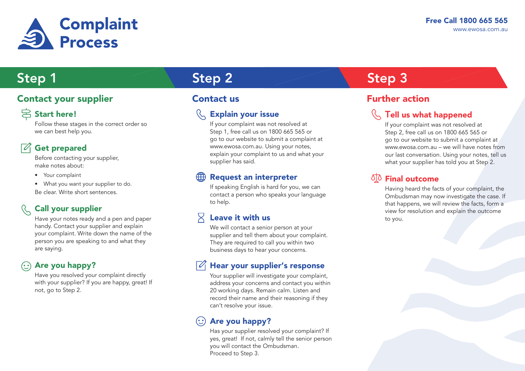

### **Contact your supplier Contact us Contact us Contact 15**

## $\triangleright$  Start here!

Follow these stages in the correct order so we can best help you.

## Get prepared

Before contacting your supplier, make notes about:

• Your complaint

• What you want your supplier to do. Be clear. Write short sentences.

## Call your supplier

Have your notes ready and a pen and paper handy. Contact your supplier and explain your complaint. Write down the name of the person you are speaking to and what they are saying.

### Are you happy?  $(\cdot)$

Have you resolved your complaint directly with your supplier? If you are happy, great! If not, go to Step 2.

# Step 1 Step 2 Step 2 Step 3

### Explain your issue

If your complaint was not resolved at Step 1, free call us on 1800 665 565 or go to our website to submit a complaint at www.ewosa.com.au. Using your notes, explain your complaint to us and what your supplier has said.

### Request an interpreter

If speaking English is hard for you, we can contact a person who speaks your language to help.

### 又 Leave it with us

We will contact a senior person at your supplier and tell them about your complaint. They are required to call you within two business days to hear your concerns.

## Hear your supplier's response

Your supplier will investigate your complaint, address your concerns and contact you within 20 working days. Remain calm. Listen and record their name and their reasoning if they can't resolve your issue.

### Are you happy?

Has your supplier resolved your complaint? If yes, great! If not, calmly tell the senior person you will contact the Ombudsman. Proceed to Step 3.

### Tell us what happened

If your complaint was not resolved at Step 2, free call us on 1800 665 565 or go to our website to submit a complaint at www.ewosa.com.au – we will have notes from our last conversation. Using your notes, tell us what your supplier has told you at Step 2.

### **SIO** Final outcome

Having heard the facts of your complaint, the Ombudsman may now investigate the case. If that happens, we will review the facts, form a view for resolution and explain the outcome to you.